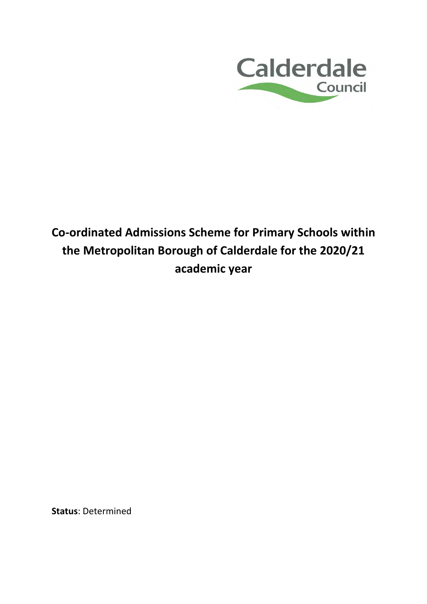

# **Co-ordinated Admissions Scheme for Primary Schools within the Metropolitan Borough of Calderdale for the 2020/21 academic year**

**Status**: Determined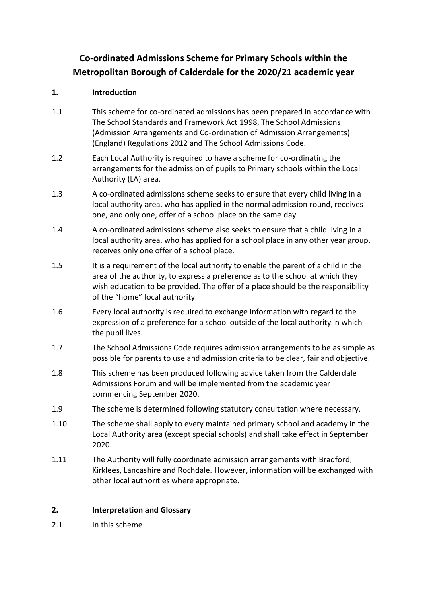## **Co-ordinated Admissions Scheme for Primary Schools within the Metropolitan Borough of Calderdale for the 2020/21 academic year**

### **1. Introduction**

- 1.1 This scheme for co-ordinated admissions has been prepared in accordance with The School Standards and Framework Act 1998, The School Admissions (Admission Arrangements and Co-ordination of Admission Arrangements) (England) Regulations 2012 and The School Admissions Code.
- 1.2 Each Local Authority is required to have a scheme for co-ordinating the arrangements for the admission of pupils to Primary schools within the Local Authority (LA) area.
- 1.3 A co-ordinated admissions scheme seeks to ensure that every child living in a local authority area, who has applied in the normal admission round, receives one, and only one, offer of a school place on the same day.
- 1.4 A co-ordinated admissions scheme also seeks to ensure that a child living in a local authority area, who has applied for a school place in any other year group, receives only one offer of a school place.
- 1.5 It is a requirement of the local authority to enable the parent of a child in the area of the authority, to express a preference as to the school at which they wish education to be provided. The offer of a place should be the responsibility of the "home" local authority.
- 1.6 Every local authority is required to exchange information with regard to the expression of a preference for a school outside of the local authority in which the pupil lives.
- 1.7 The School Admissions Code requires admission arrangements to be as simple as possible for parents to use and admission criteria to be clear, fair and objective.
- 1.8 This scheme has been produced following advice taken from the Calderdale Admissions Forum and will be implemented from the academic year commencing September 2020.
- 1.9 The scheme is determined following statutory consultation where necessary.
- 1.10 The scheme shall apply to every maintained primary school and academy in the Local Authority area (except special schools) and shall take effect in September 2020.
- 1.11 The Authority will fully coordinate admission arrangements with Bradford, Kirklees, Lancashire and Rochdale. However, information will be exchanged with other local authorities where appropriate.

### **2. Interpretation and Glossary**

2.1 In this scheme –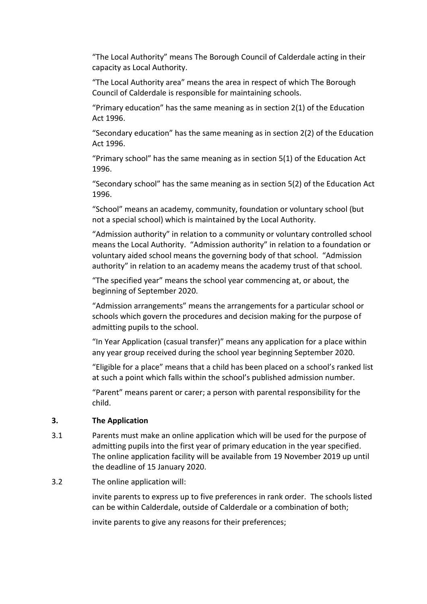"The Local Authority" means The Borough Council of Calderdale acting in their capacity as Local Authority.

"The Local Authority area" means the area in respect of which The Borough Council of Calderdale is responsible for maintaining schools.

"Primary education" has the same meaning as in section 2(1) of the Education Act 1996.

"Secondary education" has the same meaning as in section 2(2) of the Education Act 1996.

"Primary school" has the same meaning as in section 5(1) of the Education Act 1996.

"Secondary school" has the same meaning as in section 5(2) of the Education Act 1996.

"School" means an academy, community, foundation or voluntary school (but not a special school) which is maintained by the Local Authority.

"Admission authority" in relation to a community or voluntary controlled school means the Local Authority. "Admission authority" in relation to a foundation or voluntary aided school means the governing body of that school. "Admission authority" in relation to an academy means the academy trust of that school.

"The specified year" means the school year commencing at, or about, the beginning of September 2020.

"Admission arrangements" means the arrangements for a particular school or schools which govern the procedures and decision making for the purpose of admitting pupils to the school.

"In Year Application (casual transfer)" means any application for a place within any year group received during the school year beginning September 2020.

"Eligible for a place" means that a child has been placed on a school's ranked list at such a point which falls within the school's published admission number.

"Parent" means parent or carer; a person with parental responsibility for the child.

#### **3. The Application**

- 3.1 Parents must make an online application which will be used for the purpose of admitting pupils into the first year of primary education in the year specified. The online application facility will be available from 19 November 2019 up until the deadline of 15 January 2020.
- 3.2 The online application will:

 invite parents to express up to five preferences in rank order. The schools listed can be within Calderdale, outside of Calderdale or a combination of both;

invite parents to give any reasons for their preferences;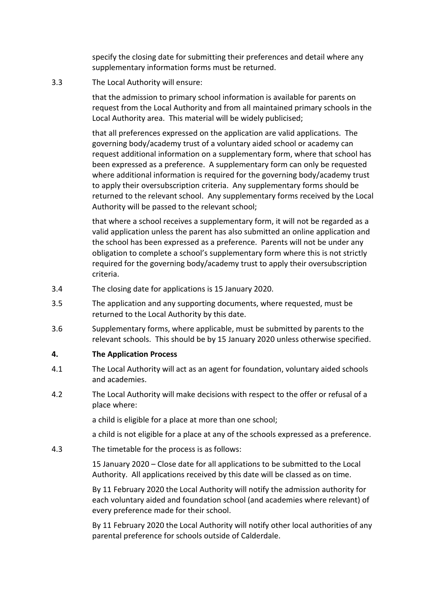specify the closing date for submitting their preferences and detail where any supplementary information forms must be returned.

3.3 The Local Authority will ensure:

 that the admission to primary school information is available for parents on request from the Local Authority and from all maintained primary schools in the Local Authority area. This material will be widely publicised;

 that all preferences expressed on the application are valid applications. The governing body/academy trust of a voluntary aided school or academy can request additional information on a supplementary form, where that school has been expressed as a preference. A supplementary form can only be requested where additional information is required for the governing body/academy trust to apply their oversubscription criteria. Any supplementary forms should be returned to the relevant school. Any supplementary forms received by the Local Authority will be passed to the relevant school;

 that where a school receives a supplementary form, it will not be regarded as a valid application unless the parent has also submitted an online application and the school has been expressed as a preference. Parents will not be under any obligation to complete a school's supplementary form where this is not strictly required for the governing body/academy trust to apply their oversubscription criteria.

- 3.4 The closing date for applications is 15 January 2020.
- 3.5 The application and any supporting documents, where requested, must be returned to the Local Authority by this date.
- 3.6 Supplementary forms, where applicable, must be submitted by parents to the relevant schools. This should be by 15 January 2020 unless otherwise specified.

#### **4. The Application Process**

- 4.1 The Local Authority will act as an agent for foundation, voluntary aided schools and academies.
- 4.2 The Local Authority will make decisions with respect to the offer or refusal of a place where:

a child is eligible for a place at more than one school;

a child is not eligible for a place at any of the schools expressed as a preference.

4.3 The timetable for the process is as follows:

15 January 2020 – Close date for all applications to be submitted to the Local Authority. All applications received by this date will be classed as on time.

By 11 February 2020 the Local Authority will notify the admission authority for each voluntary aided and foundation school (and academies where relevant) of every preference made for their school.

By 11 February 2020 the Local Authority will notify other local authorities of any parental preference for schools outside of Calderdale.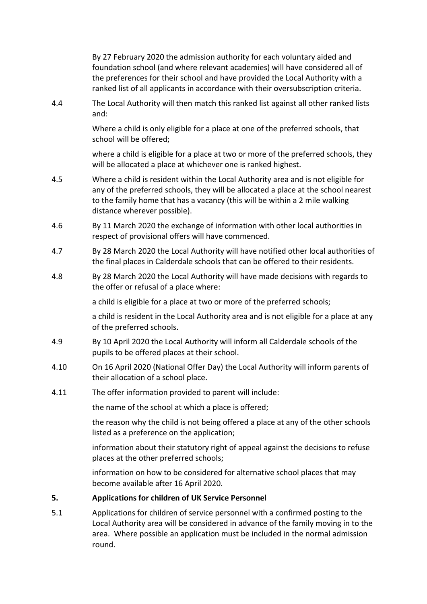By 27 February 2020 the admission authority for each voluntary aided and foundation school (and where relevant academies) will have considered all of the preferences for their school and have provided the Local Authority with a ranked list of all applicants in accordance with their oversubscription criteria.

4.4 The Local Authority will then match this ranked list against all other ranked lists and:

> Where a child is only eligible for a place at one of the preferred schools, that school will be offered;

where a child is eligible for a place at two or more of the preferred schools, they will be allocated a place at whichever one is ranked highest.

- 4.5 Where a child is resident within the Local Authority area and is not eligible for any of the preferred schools, they will be allocated a place at the school nearest to the family home that has a vacancy (this will be within a 2 mile walking distance wherever possible).
- 4.6 By 11 March 2020 the exchange of information with other local authorities in respect of provisional offers will have commenced.
- 4.7 By 28 March 2020 the Local Authority will have notified other local authorities of the final places in Calderdale schools that can be offered to their residents.
- 4.8 By 28 March 2020 the Local Authority will have made decisions with regards to the offer or refusal of a place where:

a child is eligible for a place at two or more of the preferred schools;

a child is resident in the Local Authority area and is not eligible for a place at any of the preferred schools.

- 4.9 By 10 April 2020 the Local Authority will inform all Calderdale schools of the pupils to be offered places at their school.
- 4.10 On 16 April 2020 (National Offer Day) the Local Authority will inform parents of their allocation of a school place.
- 4.11 The offer information provided to parent will include:

the name of the school at which a place is offered;

the reason why the child is not being offered a place at any of the other schools listed as a preference on the application;

information about their statutory right of appeal against the decisions to refuse places at the other preferred schools;

information on how to be considered for alternative school places that may become available after 16 April 2020.

#### **5. Applications for children of UK Service Personnel**

5.1 Applications for children of service personnel with a confirmed posting to the Local Authority area will be considered in advance of the family moving in to the area. Where possible an application must be included in the normal admission round.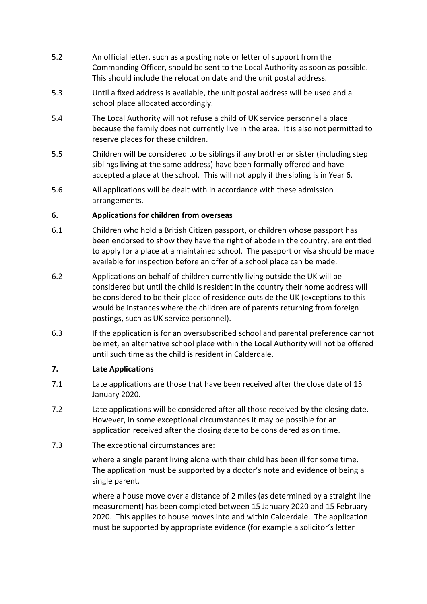- 5.2 An official letter, such as a posting note or letter of support from the Commanding Officer, should be sent to the Local Authority as soon as possible. This should include the relocation date and the unit postal address.
- 5.3 Until a fixed address is available, the unit postal address will be used and a school place allocated accordingly.
- 5.4 The Local Authority will not refuse a child of UK service personnel a place because the family does not currently live in the area. It is also not permitted to reserve places for these children.
- 5.5 Children will be considered to be siblings if any brother or sister (including step siblings living at the same address) have been formally offered and have accepted a place at the school. This will not apply if the sibling is in Year 6.
- 5.6 All applications will be dealt with in accordance with these admission arrangements.

#### **6. Applications for children from overseas**

- 6.1 Children who hold a British Citizen passport, or children whose passport has been endorsed to show they have the right of abode in the country, are entitled to apply for a place at a maintained school. The passport or visa should be made available for inspection before an offer of a school place can be made.
- 6.2 Applications on behalf of children currently living outside the UK will be considered but until the child is resident in the country their home address will be considered to be their place of residence outside the UK (exceptions to this would be instances where the children are of parents returning from foreign postings, such as UK service personnel).
- 6.3 If the application is for an oversubscribed school and parental preference cannot be met, an alternative school place within the Local Authority will not be offered until such time as the child is resident in Calderdale.

#### **7. Late Applications**

- 7.1 Late applications are those that have been received after the close date of 15 January 2020.
- 7.2 Late applications will be considered after all those received by the closing date. However, in some exceptional circumstances it may be possible for an application received after the closing date to be considered as on time.
- 7.3 The exceptional circumstances are:

 where a single parent living alone with their child has been ill for some time. The application must be supported by a doctor's note and evidence of being a single parent.

 where a house move over a distance of 2 miles (as determined by a straight line measurement) has been completed between 15 January 2020 and 15 February 2020. This applies to house moves into and within Calderdale. The application must be supported by appropriate evidence (for example a solicitor's letter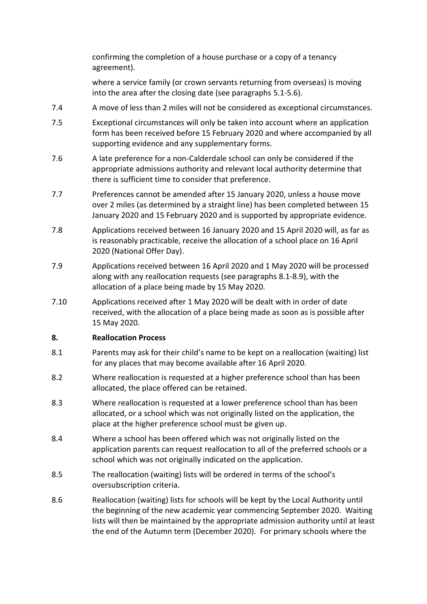confirming the completion of a house purchase or a copy of a tenancy agreement).

 where a service family (or crown servants returning from overseas) is moving into the area after the closing date (see paragraphs 5.1-5.6).

- 7.4 A move of less than 2 miles will not be considered as exceptional circumstances.
- 7.5 Exceptional circumstances will only be taken into account where an application form has been received before 15 February 2020 and where accompanied by all supporting evidence and any supplementary forms.
- 7.6 A late preference for a non-Calderdale school can only be considered if the appropriate admissions authority and relevant local authority determine that there is sufficient time to consider that preference.
- 7.7 Preferences cannot be amended after 15 January 2020, unless a house move over 2 miles (as determined by a straight line) has been completed between 15 January 2020 and 15 February 2020 and is supported by appropriate evidence.
- 7.8 Applications received between 16 January 2020 and 15 April 2020 will, as far as is reasonably practicable, receive the allocation of a school place on 16 April 2020 (National Offer Day).
- 7.9 Applications received between 16 April 2020 and 1 May 2020 will be processed along with any reallocation requests (see paragraphs 8.1-8.9), with the allocation of a place being made by 15 May 2020.
- 7.10 Applications received after 1 May 2020 will be dealt with in order of date received, with the allocation of a place being made as soon as is possible after 15 May 2020.

#### **8. Reallocation Process**

- 8.1 Parents may ask for their child's name to be kept on a reallocation (waiting) list for any places that may become available after 16 April 2020.
- 8.2 Where reallocation is requested at a higher preference school than has been allocated, the place offered can be retained.
- 8.3 Where reallocation is requested at a lower preference school than has been allocated, or a school which was not originally listed on the application, the place at the higher preference school must be given up.
- 8.4 Where a school has been offered which was not originally listed on the application parents can request reallocation to all of the preferred schools or a school which was not originally indicated on the application.
- 8.5 The reallocation (waiting) lists will be ordered in terms of the school's oversubscription criteria.
- 8.6 Reallocation (waiting) lists for schools will be kept by the Local Authority until the beginning of the new academic year commencing September 2020. Waiting lists will then be maintained by the appropriate admission authority until at least the end of the Autumn term (December 2020). For primary schools where the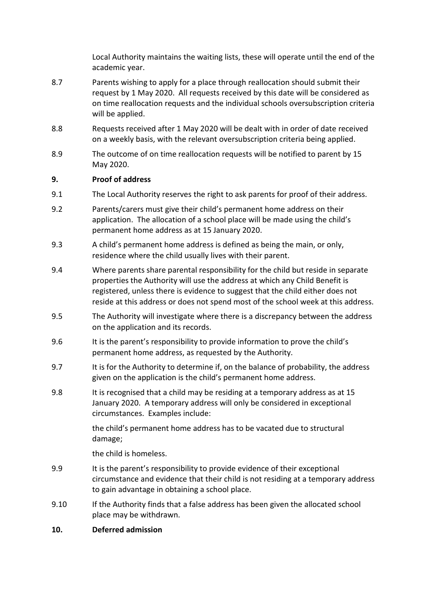Local Authority maintains the waiting lists, these will operate until the end of the academic year.

- 8.7 Parents wishing to apply for a place through reallocation should submit their request by 1 May 2020. All requests received by this date will be considered as on time reallocation requests and the individual schools oversubscription criteria will be applied.
- 8.8 Requests received after 1 May 2020 will be dealt with in order of date received on a weekly basis, with the relevant oversubscription criteria being applied.
- 8.9 The outcome of on time reallocation requests will be notified to parent by 15 May 2020.

#### **9. Proof of address**

- 9.1 The Local Authority reserves the right to ask parents for proof of their address.
- 9.2 Parents/carers must give their child's permanent home address on their application. The allocation of a school place will be made using the child's permanent home address as at 15 January 2020.
- 9.3 A child's permanent home address is defined as being the main, or only, residence where the child usually lives with their parent.
- 9.4 Where parents share parental responsibility for the child but reside in separate properties the Authority will use the address at which any Child Benefit is registered, unless there is evidence to suggest that the child either does not reside at this address or does not spend most of the school week at this address.
- 9.5 The Authority will investigate where there is a discrepancy between the address on the application and its records.
- 9.6 It is the parent's responsibility to provide information to prove the child's permanent home address, as requested by the Authority.
- 9.7 It is for the Authority to determine if, on the balance of probability, the address given on the application is the child's permanent home address.
- 9.8 It is recognised that a child may be residing at a temporary address as at 15 January 2020. A temporary address will only be considered in exceptional circumstances. Examples include:

the child's permanent home address has to be vacated due to structural damage;

the child is homeless.

- 9.9 It is the parent's responsibility to provide evidence of their exceptional circumstance and evidence that their child is not residing at a temporary address to gain advantage in obtaining a school place.
- 9.10 If the Authority finds that a false address has been given the allocated school place may be withdrawn.
- **10. Deferred admission**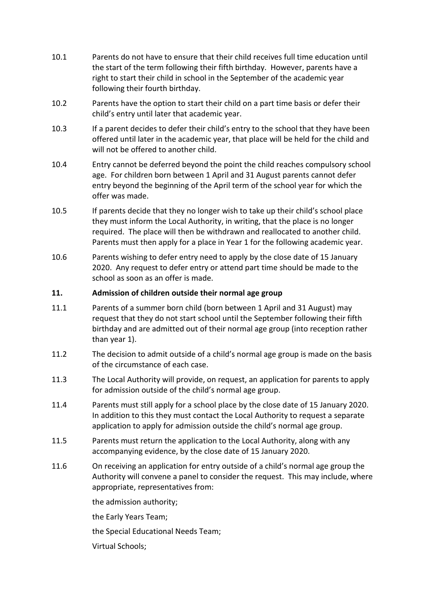- 10.1 Parents do not have to ensure that their child receives full time education until the start of the term following their fifth birthday. However, parents have a right to start their child in school in the September of the academic year following their fourth birthday.
- 10.2 Parents have the option to start their child on a part time basis or defer their child's entry until later that academic year.
- 10.3 If a parent decides to defer their child's entry to the school that they have been offered until later in the academic year, that place will be held for the child and will not be offered to another child.
- 10.4 Entry cannot be deferred beyond the point the child reaches compulsory school age. For children born between 1 April and 31 August parents cannot defer entry beyond the beginning of the April term of the school year for which the offer was made.
- 10.5 If parents decide that they no longer wish to take up their child's school place they must inform the Local Authority, in writing, that the place is no longer required. The place will then be withdrawn and reallocated to another child. Parents must then apply for a place in Year 1 for the following academic year.
- 10.6 Parents wishing to defer entry need to apply by the close date of 15 January 2020. Any request to defer entry or attend part time should be made to the school as soon as an offer is made.

#### **11. Admission of children outside their normal age group**

- 11.1 Parents of a summer born child (born between 1 April and 31 August) may request that they do not start school until the September following their fifth birthday and are admitted out of their normal age group (into reception rather than year 1).
- 11.2 The decision to admit outside of a child's normal age group is made on the basis of the circumstance of each case.
- 11.3 The Local Authority will provide, on request, an application for parents to apply for admission outside of the child's normal age group.
- 11.4 Parents must still apply for a school place by the close date of 15 January 2020. In addition to this they must contact the Local Authority to request a separate application to apply for admission outside the child's normal age group.
- 11.5 Parents must return the application to the Local Authority, along with any accompanying evidence, by the close date of 15 January 2020.
- 11.6 On receiving an application for entry outside of a child's normal age group the Authority will convene a panel to consider the request. This may include, where appropriate, representatives from:

the admission authority;

the Early Years Team;

the Special Educational Needs Team;

Virtual Schools;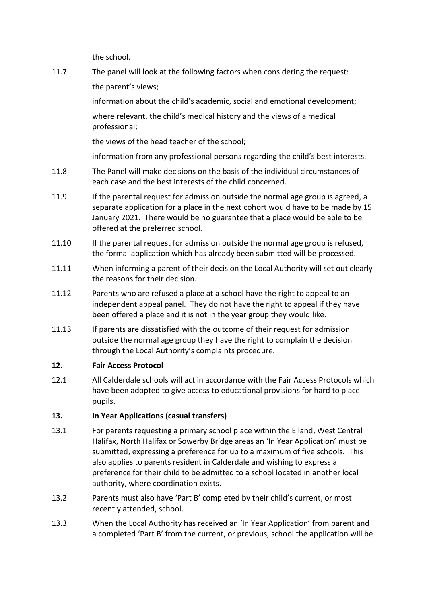the school.

11.7 The panel will look at the following factors when considering the request: the parent's views;

> information about the child's academic, social and emotional development; where relevant, the child's medical history and the views of a medical professional;

the views of the head teacher of the school;

information from any professional persons regarding the child's best interests.

- 11.8 The Panel will make decisions on the basis of the individual circumstances of each case and the best interests of the child concerned.
- 11.9 If the parental request for admission outside the normal age group is agreed, a separate application for a place in the next cohort would have to be made by 15 January 2021. There would be no guarantee that a place would be able to be offered at the preferred school.
- 11.10 If the parental request for admission outside the normal age group is refused, the formal application which has already been submitted will be processed.
- 11.11 When informing a parent of their decision the Local Authority will set out clearly the reasons for their decision.
- 11.12 Parents who are refused a place at a school have the right to appeal to an independent appeal panel. They do not have the right to appeal if they have been offered a place and it is not in the year group they would like.
- 11.13 If parents are dissatisfied with the outcome of their request for admission outside the normal age group they have the right to complain the decision through the Local Authority's complaints procedure.

#### **12. Fair Access Protocol**

12.1 All Calderdale schools will act in accordance with the Fair Access Protocols which have been adopted to give access to educational provisions for hard to place pupils.

#### **13. In Year Applications (casual transfers)**

- 13.1 For parents requesting a primary school place within the Elland, West Central Halifax, North Halifax or Sowerby Bridge areas an 'In Year Application' must be submitted, expressing a preference for up to a maximum of five schools. This also applies to parents resident in Calderdale and wishing to express a preference for their child to be admitted to a school located in another local authority, where coordination exists.
- 13.2 Parents must also have 'Part B' completed by their child's current, or most recently attended, school.
- 13.3 When the Local Authority has received an 'In Year Application' from parent and a completed 'Part B' from the current, or previous, school the application will be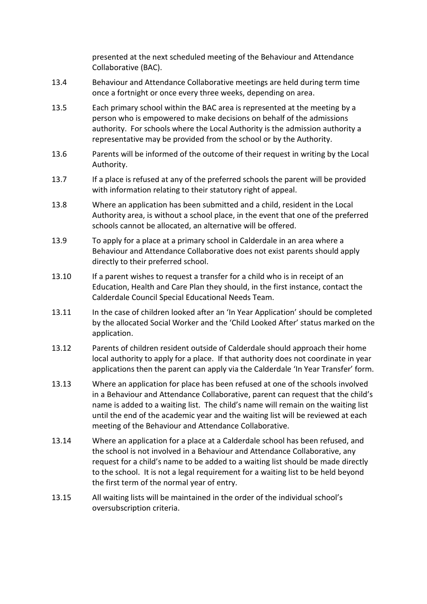presented at the next scheduled meeting of the Behaviour and Attendance Collaborative (BAC).

- 13.4 Behaviour and Attendance Collaborative meetings are held during term time once a fortnight or once every three weeks, depending on area.
- 13.5 Each primary school within the BAC area is represented at the meeting by a person who is empowered to make decisions on behalf of the admissions authority. For schools where the Local Authority is the admission authority a representative may be provided from the school or by the Authority.
- 13.6 Parents will be informed of the outcome of their request in writing by the Local Authority.
- 13.7 If a place is refused at any of the preferred schools the parent will be provided with information relating to their statutory right of appeal.
- 13.8 Where an application has been submitted and a child, resident in the Local Authority area, is without a school place, in the event that one of the preferred schools cannot be allocated, an alternative will be offered.
- 13.9 To apply for a place at a primary school in Calderdale in an area where a Behaviour and Attendance Collaborative does not exist parents should apply directly to their preferred school.
- 13.10 If a parent wishes to request a transfer for a child who is in receipt of an Education, Health and Care Plan they should, in the first instance, contact the Calderdale Council Special Educational Needs Team.
- 13.11 In the case of children looked after an 'In Year Application' should be completed by the allocated Social Worker and the 'Child Looked After' status marked on the application.
- 13.12 Parents of children resident outside of Calderdale should approach their home local authority to apply for a place. If that authority does not coordinate in year applications then the parent can apply via the Calderdale 'In Year Transfer' form.
- 13.13 Where an application for place has been refused at one of the schools involved in a Behaviour and Attendance Collaborative, parent can request that the child's name is added to a waiting list. The child's name will remain on the waiting list until the end of the academic year and the waiting list will be reviewed at each meeting of the Behaviour and Attendance Collaborative.
- 13.14 Where an application for a place at a Calderdale school has been refused, and the school is not involved in a Behaviour and Attendance Collaborative, any request for a child's name to be added to a waiting list should be made directly to the school. It is not a legal requirement for a waiting list to be held beyond the first term of the normal year of entry.
- 13.15 All waiting lists will be maintained in the order of the individual school's oversubscription criteria.